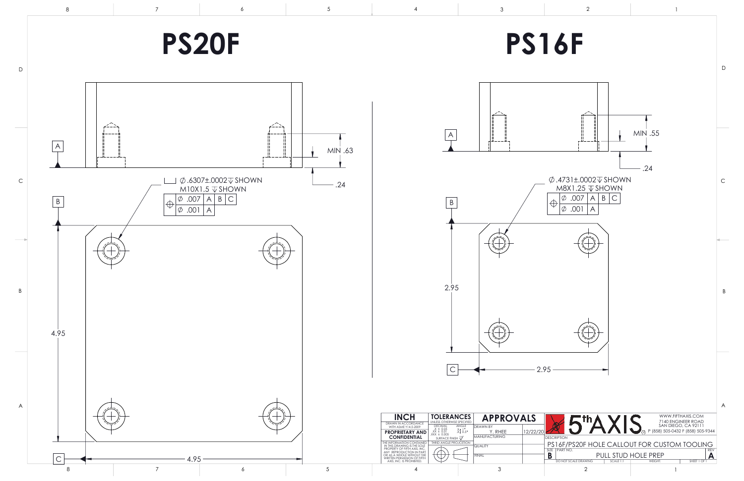